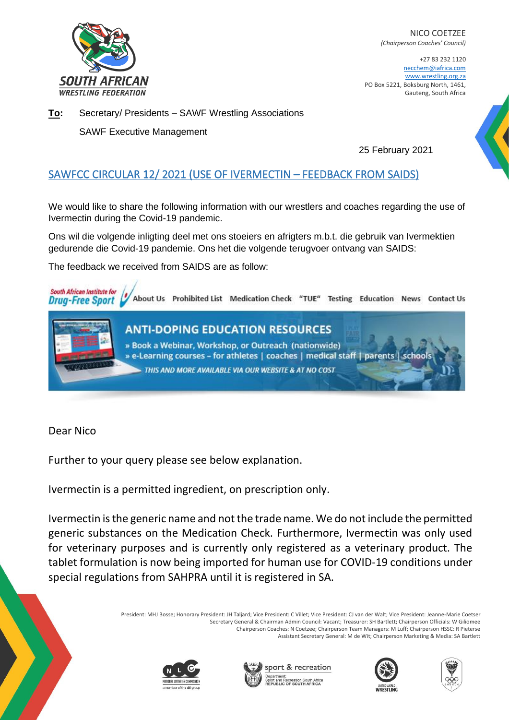

NICO COETZEE *(Chairperson Coaches' Council)*

+27 83 232 1120 necchem@iafrica.com www.wrestling.org.za PO Box 5221, Boksburg North, 1461, Gauteng, South Africa

**To:** Secretary/ Presidents – SAWF Wrestling Associations

SAWF Executive Management

25 February 2021

## SAWFCC CIRCULAR 12/ 2021 (USE OF IVERMECTIN – FEEDBACK FROM SAIDS)

We would like to share the following information with our wrestlers and coaches regarding the use of Ivermectin during the Covid-19 pandemic.

Ons wil die volgende inligting deel met ons stoeiers en afrigters m.b.t. die gebruik van Ivermektien gedurende die Covid-19 pandemie. Ons het die volgende terugvoer ontvang van SAIDS:

The feedback we received from SAIDS are as follow:



Dear Nico

Further to your query please see below explanation.

Ivermectin is a permitted ingredient, on prescription only.

Ivermectin is the generic name and not the trade name. We do not include the permitted generic substances on the Medication Check. Furthermore, Ivermectin was only used for veterinary purposes and is currently only registered as a veterinary product. The tablet formulation is now being imported for human use for COVID-19 conditions under special regulations from SAHPRA until it is registered in SA.

> President: MHJ Bosse; Honorary President: JH Taljard; Vice President: C Villet; Vice President: CJ van der Walt; Vice President: Jeanne-Marie Coetser Secretary General & Chairman Admin Council: Vacant; Treasurer: SH Bartlett; Chairperson Officials: W Giliomee Chairperson Coaches: N Coetzee; Chairperson Team Managers: M Luff; Chairperson HSSC: R Pieterse Assistant Secretary General: M de Wit; Chairperson Marketing & Media: SA Bartlett